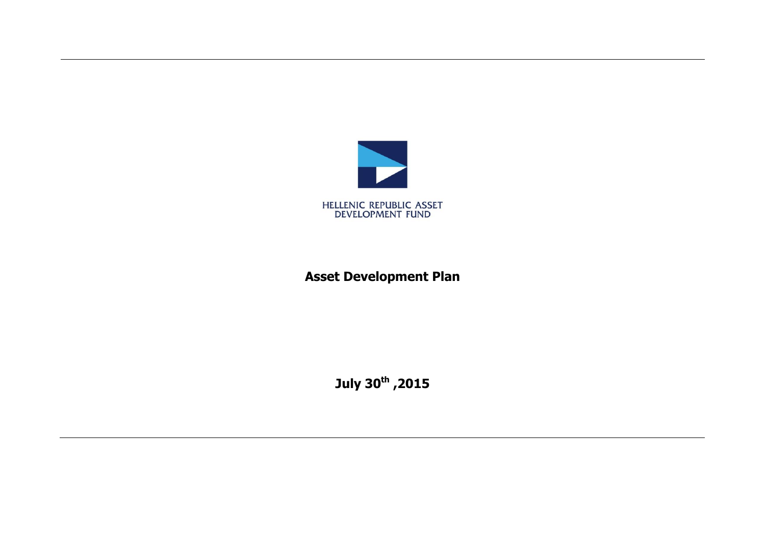

# **Asset Development Plan**

**July 30th ,2015**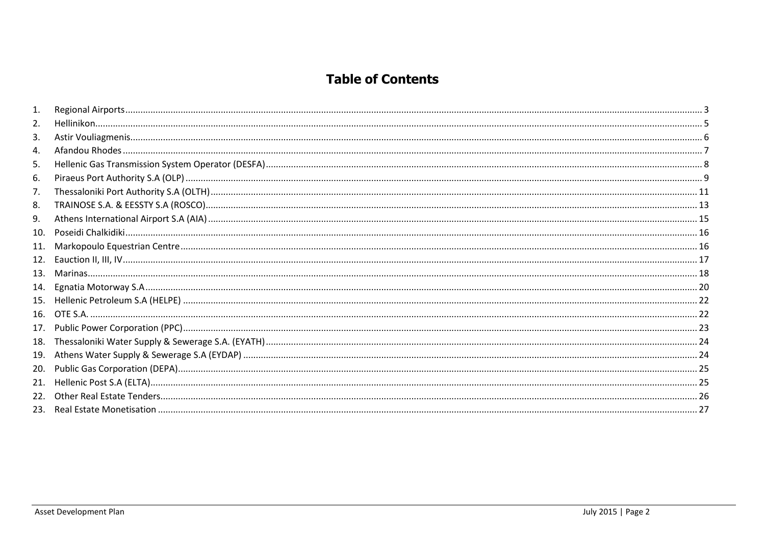### **Table of Contents**

| 2.  |  |
|-----|--|
| 3.  |  |
| 4.  |  |
| 5.  |  |
| 6.  |  |
| 7.  |  |
| 8.  |  |
| 9.  |  |
| 10. |  |
| 11. |  |
| 12. |  |
| 13. |  |
| 14. |  |
| 15. |  |
|     |  |
| 17. |  |
| 18. |  |
| 19. |  |
| 20. |  |
| 21. |  |
| 22. |  |
| 23. |  |
|     |  |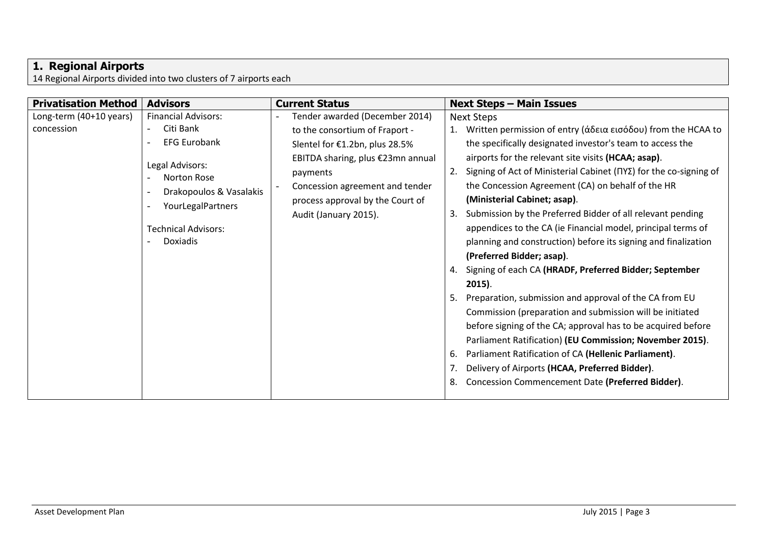#### <span id="page-2-0"></span>**1. Regional Airports**

14 Regional Airports divided into two clusters of 7 airports each

| <b>Privatisation Method</b>           | <b>Advisors</b>                                                                                                                                                                                   | <b>Current Status</b>                                                                                                                                                                                                                               | <b>Next Steps - Main Issues</b>                                                                                                                                                                                                                                                                                                                                                                                                                                                                                                                                                                                                                                                                                                                                                                                                                                                                                                                                                                                                                                                                                   |
|---------------------------------------|---------------------------------------------------------------------------------------------------------------------------------------------------------------------------------------------------|-----------------------------------------------------------------------------------------------------------------------------------------------------------------------------------------------------------------------------------------------------|-------------------------------------------------------------------------------------------------------------------------------------------------------------------------------------------------------------------------------------------------------------------------------------------------------------------------------------------------------------------------------------------------------------------------------------------------------------------------------------------------------------------------------------------------------------------------------------------------------------------------------------------------------------------------------------------------------------------------------------------------------------------------------------------------------------------------------------------------------------------------------------------------------------------------------------------------------------------------------------------------------------------------------------------------------------------------------------------------------------------|
| Long-term (40+10 years)<br>concession | <b>Financial Advisors:</b><br>Citi Bank<br><b>EFG Eurobank</b><br>Legal Advisors:<br><b>Norton Rose</b><br>Drakopoulos & Vasalakis<br>YourLegalPartners<br><b>Technical Advisors:</b><br>Doxiadis | Tender awarded (December 2014)<br>to the consortium of Fraport -<br>Slentel for €1.2bn, plus 28.5%<br>EBITDA sharing, plus €23mn annual<br>payments<br>Concession agreement and tender<br>process approval by the Court of<br>Audit (January 2015). | <b>Next Steps</b><br>Written permission of entry (άδεια εισόδου) from the HCAA to<br>the specifically designated investor's team to access the<br>airports for the relevant site visits (HCAA; asap).<br>Signing of Act of Ministerial Cabinet (ΠΥΣ) for the co-signing of<br>the Concession Agreement (CA) on behalf of the HR<br>(Ministerial Cabinet; asap).<br>Submission by the Preferred Bidder of all relevant pending<br>3.<br>appendices to the CA (ie Financial model, principal terms of<br>planning and construction) before its signing and finalization<br>(Preferred Bidder; asap).<br>Signing of each CA (HRADF, Preferred Bidder; September<br>4.<br>$2015$ ).<br>Preparation, submission and approval of the CA from EU<br>Commission (preparation and submission will be initiated<br>before signing of the CA; approval has to be acquired before<br>Parliament Ratification) (EU Commission; November 2015).<br>Parliament Ratification of CA (Hellenic Parliament).<br>6.<br>Delivery of Airports (HCAA, Preferred Bidder).<br>7.<br>Concession Commencement Date (Preferred Bidder).<br>8. |
|                                       |                                                                                                                                                                                                   |                                                                                                                                                                                                                                                     |                                                                                                                                                                                                                                                                                                                                                                                                                                                                                                                                                                                                                                                                                                                                                                                                                                                                                                                                                                                                                                                                                                                   |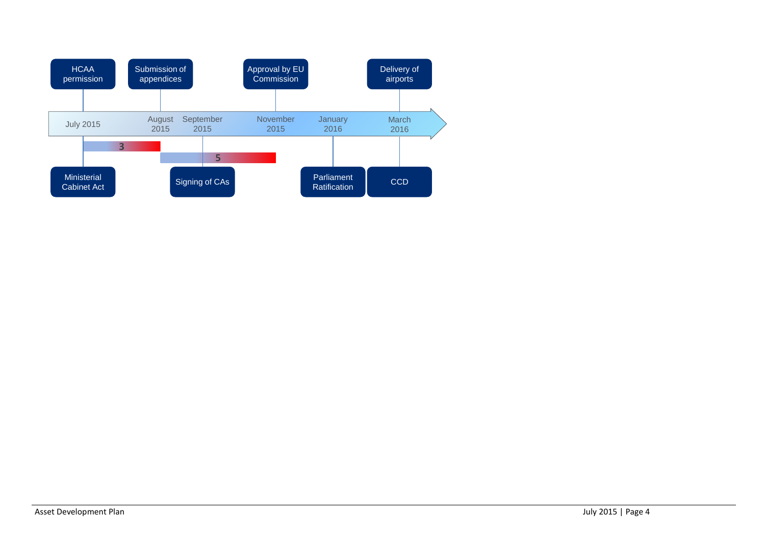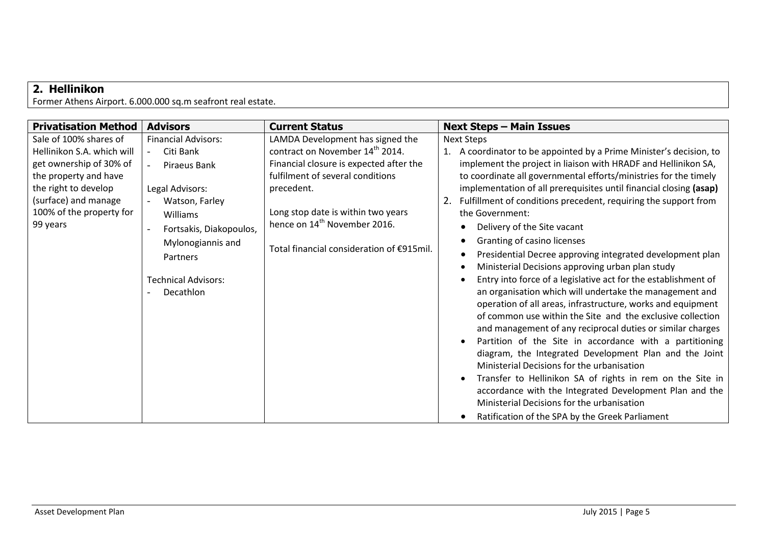## <span id="page-4-0"></span>**2. Hellinikon**

Former Athens Airport. 6.000.000 sq.m seafront real estate.

| <b>Privatisation Method</b>                                                                                                                                                                      | <b>Advisors</b>                                                                                                                                                                                                                   | <b>Current Status</b>                                                                                                                                                                                                                                                                           | <b>Next Steps - Main Issues</b>                                                                                                                                                                                                                                                                                                                                                                                                                                                                                                                                                                                                                                                                                                                                                                                                                                                                                                                                                                                                                                                                                                                                                                                                                                                                                                           |
|--------------------------------------------------------------------------------------------------------------------------------------------------------------------------------------------------|-----------------------------------------------------------------------------------------------------------------------------------------------------------------------------------------------------------------------------------|-------------------------------------------------------------------------------------------------------------------------------------------------------------------------------------------------------------------------------------------------------------------------------------------------|-------------------------------------------------------------------------------------------------------------------------------------------------------------------------------------------------------------------------------------------------------------------------------------------------------------------------------------------------------------------------------------------------------------------------------------------------------------------------------------------------------------------------------------------------------------------------------------------------------------------------------------------------------------------------------------------------------------------------------------------------------------------------------------------------------------------------------------------------------------------------------------------------------------------------------------------------------------------------------------------------------------------------------------------------------------------------------------------------------------------------------------------------------------------------------------------------------------------------------------------------------------------------------------------------------------------------------------------|
| Sale of 100% shares of<br>Hellinikon S.A. which will<br>get ownership of 30% of<br>the property and have<br>the right to develop<br>(surface) and manage<br>100% of the property for<br>99 years | <b>Financial Advisors:</b><br>Citi Bank<br>$\overline{a}$<br>Piraeus Bank<br>Legal Advisors:<br>Watson, Farley<br>Williams<br>Fortsakis, Diakopoulos,<br>Mylonogiannis and<br>Partners<br><b>Technical Advisors:</b><br>Decathlon | LAMDA Development has signed the<br>contract on November 14th 2014.<br>Financial closure is expected after the<br>fulfilment of several conditions<br>precedent.<br>Long stop date is within two years<br>hence on 14 <sup>th</sup> November 2016.<br>Total financial consideration of €915mil. | <b>Next Steps</b><br>1. A coordinator to be appointed by a Prime Minister's decision, to<br>implement the project in liaison with HRADF and Hellinikon SA,<br>to coordinate all governmental efforts/ministries for the timely<br>implementation of all prerequisites until financial closing (asap)<br>Fulfillment of conditions precedent, requiring the support from<br>the Government:<br>Delivery of the Site vacant<br>Granting of casino licenses<br>Presidential Decree approving integrated development plan<br>٠<br>Ministerial Decisions approving urban plan study<br>$\bullet$<br>Entry into force of a legislative act for the establishment of<br>an organisation which will undertake the management and<br>operation of all areas, infrastructure, works and equipment<br>of common use within the Site and the exclusive collection<br>and management of any reciprocal duties or similar charges<br>Partition of the Site in accordance with a partitioning<br>$\bullet$<br>diagram, the Integrated Development Plan and the Joint<br>Ministerial Decisions for the urbanisation<br>Transfer to Hellinikon SA of rights in rem on the Site in<br>$\bullet$<br>accordance with the Integrated Development Plan and the<br>Ministerial Decisions for the urbanisation<br>Ratification of the SPA by the Greek Parliament |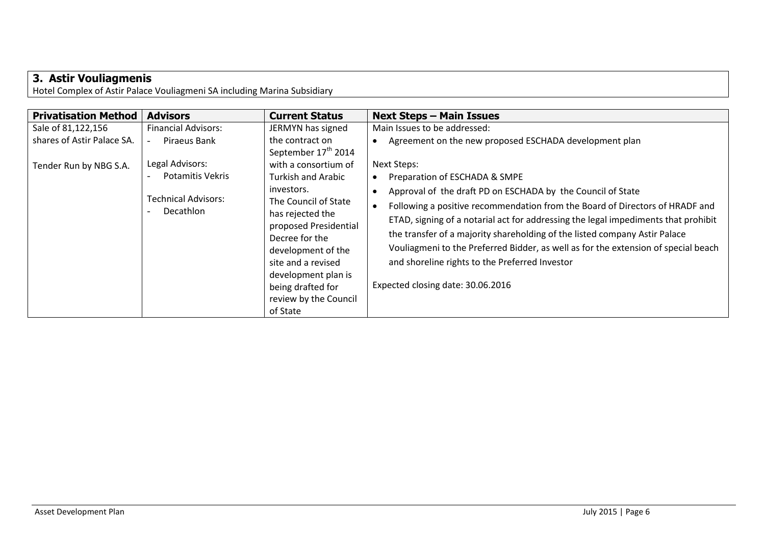# <span id="page-5-0"></span>**3. Astir Vouliagmenis**

Hotel Complex of Astir Palace Vouliagmeni SA including Marina Subsidiary

| <b>Privatisation Method</b> | <b>Advisors</b>                         | <b>Current Status</b>                                                                                                                                                                                                          | <b>Next Steps - Main Issues</b>                                                                                                                                                                                                                                                                                                                                                                                                                                                              |
|-----------------------------|-----------------------------------------|--------------------------------------------------------------------------------------------------------------------------------------------------------------------------------------------------------------------------------|----------------------------------------------------------------------------------------------------------------------------------------------------------------------------------------------------------------------------------------------------------------------------------------------------------------------------------------------------------------------------------------------------------------------------------------------------------------------------------------------|
| Sale of 81,122,156          | <b>Financial Advisors:</b>              | JERMYN has signed                                                                                                                                                                                                              | Main Issues to be addressed:                                                                                                                                                                                                                                                                                                                                                                                                                                                                 |
| shares of Astir Palace SA.  | Piraeus Bank                            | the contract on<br>September 17 <sup>th</sup> 2014                                                                                                                                                                             | Agreement on the new proposed ESCHADA development plan                                                                                                                                                                                                                                                                                                                                                                                                                                       |
| Tender Run by NBG S.A.      | Legal Advisors:                         | with a consortium of                                                                                                                                                                                                           | <b>Next Steps:</b>                                                                                                                                                                                                                                                                                                                                                                                                                                                                           |
|                             | Potamitis Vekris                        | <b>Turkish and Arabic</b>                                                                                                                                                                                                      | Preparation of ESCHADA & SMPE                                                                                                                                                                                                                                                                                                                                                                                                                                                                |
|                             | <b>Technical Advisors:</b><br>Decathlon | investors.<br>The Council of State<br>has rejected the<br>proposed Presidential<br>Decree for the<br>development of the<br>site and a revised<br>development plan is<br>being drafted for<br>review by the Council<br>of State | Approval of the draft PD on ESCHADA by the Council of State<br>Following a positive recommendation from the Board of Directors of HRADF and<br>ETAD, signing of a notarial act for addressing the legal impediments that prohibit<br>the transfer of a majority shareholding of the listed company Astir Palace<br>Vouliagmeni to the Preferred Bidder, as well as for the extension of special beach<br>and shoreline rights to the Preferred Investor<br>Expected closing date: 30.06.2016 |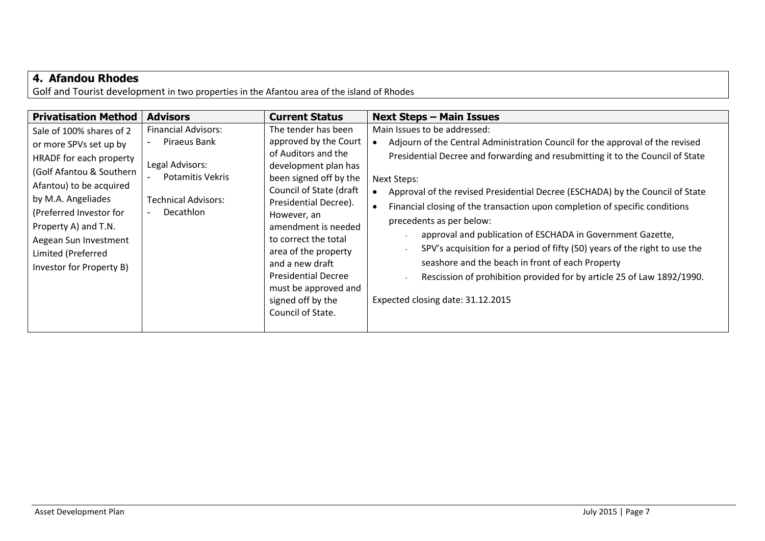### <span id="page-6-0"></span>**4. Afandou Rhodes**

Golf and Tourist development in two properties in the Afantou area of the island of Rhodes

| <b>Privatisation Method</b>                                                                                                                                                                                                                                                              | <b>Advisors</b>                                                                                                                            | <b>Current Status</b>                                                                                                                                                                                                                                                                                                                                                              | <b>Next Steps - Main Issues</b>                                                                                                                                                                                                                                                                                                                                                                                                                                                                                                                                                                                                                                                                                           |
|------------------------------------------------------------------------------------------------------------------------------------------------------------------------------------------------------------------------------------------------------------------------------------------|--------------------------------------------------------------------------------------------------------------------------------------------|------------------------------------------------------------------------------------------------------------------------------------------------------------------------------------------------------------------------------------------------------------------------------------------------------------------------------------------------------------------------------------|---------------------------------------------------------------------------------------------------------------------------------------------------------------------------------------------------------------------------------------------------------------------------------------------------------------------------------------------------------------------------------------------------------------------------------------------------------------------------------------------------------------------------------------------------------------------------------------------------------------------------------------------------------------------------------------------------------------------------|
| Sale of 100% shares of 2<br>or more SPVs set up by<br>HRADF for each property<br>(Golf Afantou & Southern<br>Afantou) to be acquired<br>by M.A. Angeliades<br>(Preferred Investor for<br>Property A) and T.N.<br>Aegean Sun Investment<br>Limited (Preferred<br>Investor for Property B) | <b>Financial Advisors:</b><br>Piraeus Bank<br>Legal Advisors:<br><b>Potamitis Vekris</b><br><b>Technical Advisors:</b><br><b>Decathlon</b> | The tender has been<br>approved by the Court<br>of Auditors and the<br>development plan has<br>been signed off by the<br>Council of State (draft<br>Presidential Decree).<br>However, an<br>amendment is needed<br>to correct the total<br>area of the property<br>and a new draft<br><b>Presidential Decree</b><br>must be approved and<br>signed off by the<br>Council of State. | Main Issues to be addressed:<br>Adjourn of the Central Administration Council for the approval of the revised<br>Presidential Decree and forwarding and resubmitting it to the Council of State<br>Next Steps:<br>Approval of the revised Presidential Decree (ESCHADA) by the Council of State<br>Financial closing of the transaction upon completion of specific conditions<br>precedents as per below:<br>approval and publication of ESCHADA in Government Gazette,<br>SPV's acquisition for a period of fifty (50) years of the right to use the<br>seashore and the beach in front of each Property<br>Rescission of prohibition provided for by article 25 of Law 1892/1990.<br>Expected closing date: 31.12.2015 |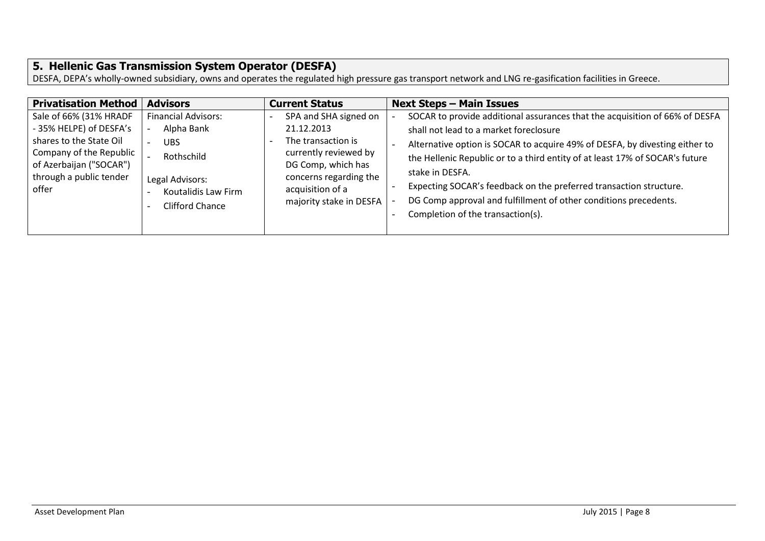### <span id="page-7-0"></span>**5. Hellenic Gas Transmission System Operator (DESFA)**

DESFA, DEPA's wholly-owned subsidiary, owns and operates the regulated high pressure gas transport network and LNG re-gasification facilities in Greece.

| <b>Privatisation Method</b>                        | <b>Advisors</b>                        | <b>Current Status</b>                       | <b>Next Steps - Main Issues</b>                                              |
|----------------------------------------------------|----------------------------------------|---------------------------------------------|------------------------------------------------------------------------------|
| Sale of 66% (31% HRADF                             | <b>Financial Advisors:</b>             | SPA and SHA signed on                       | SOCAR to provide additional assurances that the acquisition of 66% of DESFA  |
| - 35% HELPE) of DESFA's                            | Alpha Bank                             | 21.12.2013                                  | shall not lead to a market foreclosure                                       |
| shares to the State Oil                            | <b>UBS</b>                             | The transaction is                          | Alternative option is SOCAR to acquire 49% of DESFA, by divesting either to  |
| Company of the Republic<br>of Azerbaijan ("SOCAR") | Rothschild                             | currently reviewed by<br>DG Comp, which has | the Hellenic Republic or to a third entity of at least 17% of SOCAR's future |
| through a public tender                            |                                        | concerns regarding the                      | stake in DESFA.                                                              |
| offer                                              | Legal Advisors:<br>Koutalidis Law Firm | acquisition of a                            | Expecting SOCAR's feedback on the preferred transaction structure.           |
|                                                    | Clifford Chance                        | majority stake in DESFA                     | DG Comp approval and fulfillment of other conditions precedents.             |
|                                                    |                                        |                                             | Completion of the transaction(s).                                            |
|                                                    |                                        |                                             |                                                                              |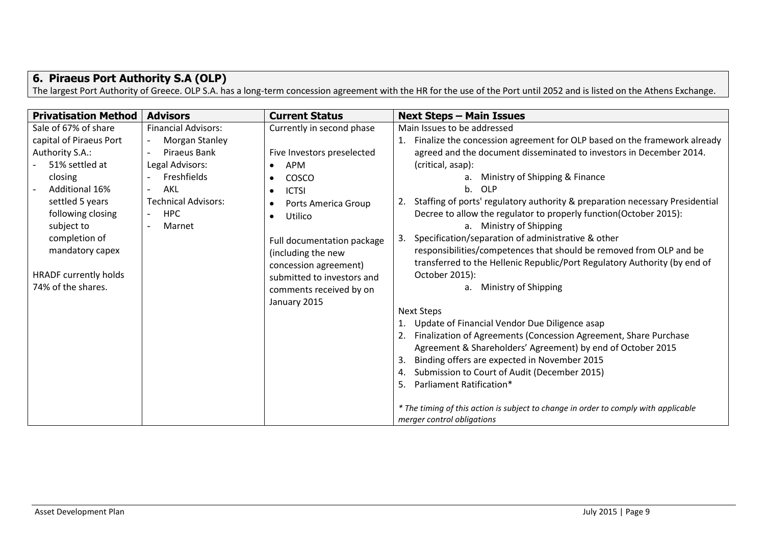## <span id="page-8-0"></span>**6. Piraeus Port Authority S.A (OLP)**

The largest Port Authority of Greece. OLP S.A. has a long-term concession agreement with the HR for the use of the Port until 2052 and is listed on the Athens Exchange.

| <b>Privatisation Method</b>                                                                                         | <b>Advisors</b>                                                                 | <b>Current Status</b>                                                                                                                                           | <b>Next Steps - Main Issues</b>                                                                                                                                                                                                                                                                                                                                              |
|---------------------------------------------------------------------------------------------------------------------|---------------------------------------------------------------------------------|-----------------------------------------------------------------------------------------------------------------------------------------------------------------|------------------------------------------------------------------------------------------------------------------------------------------------------------------------------------------------------------------------------------------------------------------------------------------------------------------------------------------------------------------------------|
| Sale of 67% of share<br>capital of Piraeus Port<br>Authority S.A.:<br>51% settled at                                | <b>Financial Advisors:</b><br>Morgan Stanley<br>Piraeus Bank<br>Legal Advisors: | Currently in second phase<br>Five Investors preselected<br>APM<br>$\bullet$                                                                                     | Main Issues to be addressed<br>Finalize the concession agreement for OLP based on the framework already<br>1.<br>agreed and the document disseminated to investors in December 2014.<br>(critical, asap):                                                                                                                                                                    |
| closing<br>Additional 16%<br>settled 5 years<br>following closing<br>subject to<br>completion of<br>mandatory capex | Freshfields<br>AKL<br><b>Technical Advisors:</b><br><b>HPC</b><br>Marnet        | COSCO<br>$\bullet$<br><b>ICTSI</b><br>$\bullet$<br>Ports America Group<br>$\bullet$<br>Utilico<br>$\bullet$<br>Full documentation package<br>(including the new | Ministry of Shipping & Finance<br>a.<br>OLP<br>$b_{-}$<br>2. Staffing of ports' regulatory authority & preparation necessary Presidential<br>Decree to allow the regulator to properly function(October 2015):<br>a. Ministry of Shipping<br>Specification/separation of administrative & other<br>3.<br>responsibilities/competences that should be removed from OLP and be |
| <b>HRADF</b> currently holds<br>74% of the shares.                                                                  |                                                                                 | concession agreement)<br>submitted to investors and<br>comments received by on<br>January 2015                                                                  | transferred to the Hellenic Republic/Port Regulatory Authority (by end of<br>October 2015):<br>Ministry of Shipping<br>а.<br><b>Next Steps</b><br>Update of Financial Vendor Due Diligence asap<br>1.<br>Finalization of Agreements (Concession Agreement, Share Purchase<br>2.                                                                                              |
|                                                                                                                     |                                                                                 |                                                                                                                                                                 | Agreement & Shareholders' Agreement) by end of October 2015<br>Binding offers are expected in November 2015<br>3.<br>Submission to Court of Audit (December 2015)<br>4.<br>Parliament Ratification*<br>5.<br>* The timing of this action is subject to change in order to comply with applicable<br>merger control obligations                                               |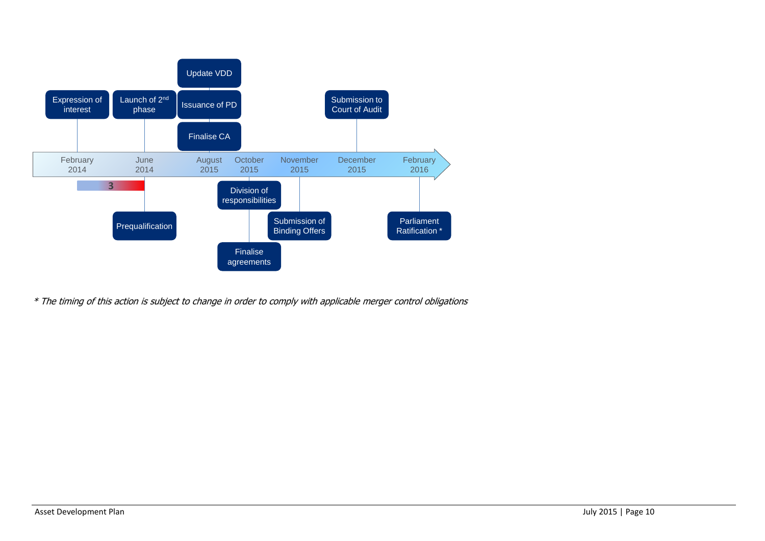

\* The timing of this action is subject to change in order to comply with applicable merger control obligations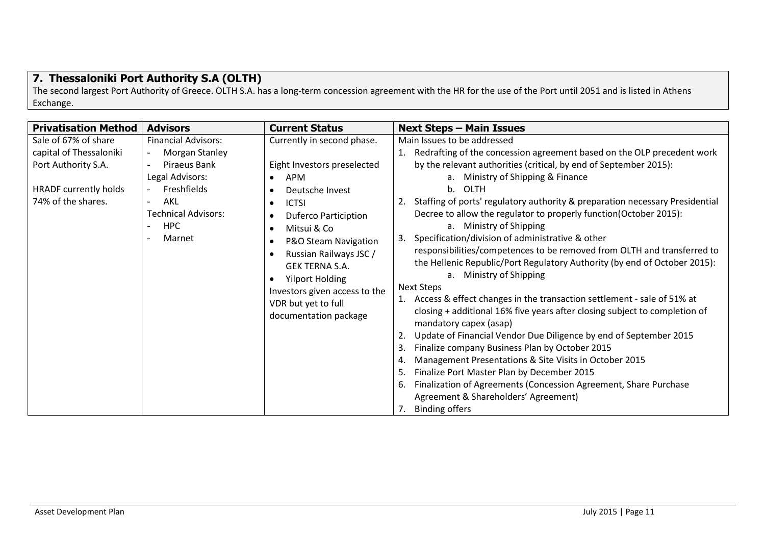## <span id="page-10-0"></span>**7. Thessaloniki Port Authority S.A (OLTH)**

The second largest Port Authority of Greece. OLTH S.A. has a long-term concession agreement with the HR for the use of the Port until 2051 and is listed in Athens Exchange.

| <b>Advisors</b><br><b>Privatisation Method</b><br><b>Current Status</b>                                                                                                                                                                                                                                                                                                                                                                                                                                                                                                                                                                                                                                    | <b>Next Steps - Main Issues</b>                                                                                                                                                                                                                                                                                                                                                                                                                                                                                                                                                                                                                                                                                                                                                                                                                                                                                                                                                                                                                                                                                                                                                                                                                       |
|------------------------------------------------------------------------------------------------------------------------------------------------------------------------------------------------------------------------------------------------------------------------------------------------------------------------------------------------------------------------------------------------------------------------------------------------------------------------------------------------------------------------------------------------------------------------------------------------------------------------------------------------------------------------------------------------------------|-------------------------------------------------------------------------------------------------------------------------------------------------------------------------------------------------------------------------------------------------------------------------------------------------------------------------------------------------------------------------------------------------------------------------------------------------------------------------------------------------------------------------------------------------------------------------------------------------------------------------------------------------------------------------------------------------------------------------------------------------------------------------------------------------------------------------------------------------------------------------------------------------------------------------------------------------------------------------------------------------------------------------------------------------------------------------------------------------------------------------------------------------------------------------------------------------------------------------------------------------------|
| Currently in second phase.<br>Sale of 67% of share<br><b>Financial Advisors:</b><br>capital of Thessaloniki<br>Morgan Stanley<br>Port Authority S.A.<br>Piraeus Bank<br>Eight Investors preselected<br>Legal Advisors:<br>APM<br>$\bullet$<br>Freshfields<br><b>HRADF currently holds</b><br>Deutsche Invest<br>74% of the shares.<br>AKL<br><b>ICTSI</b><br>$\bullet$<br><b>Technical Advisors:</b><br><b>Duferco Particiption</b><br><b>HPC</b><br>Mitsui & Co<br>Marnet<br>3.<br>P&O Steam Navigation<br>Russian Railways JSC /<br><b>GEK TERNA S.A.</b><br><b>Yilport Holding</b><br>Investors given access to the<br>VDR but yet to full<br>documentation package<br>2.<br>3.<br>4.<br>5.<br>6.<br>7. | Main Issues to be addressed<br>1. Redrafting of the concession agreement based on the OLP precedent work<br>by the relevant authorities (critical, by end of September 2015):<br>Ministry of Shipping & Finance<br>a.<br>OLTH<br>$b_{\cdot}$<br>2. Staffing of ports' regulatory authority & preparation necessary Presidential<br>Decree to allow the regulator to properly function (October 2015):<br>a. Ministry of Shipping<br>Specification/division of administrative & other<br>responsibilities/competences to be removed from OLTH and transferred to<br>the Hellenic Republic/Port Regulatory Authority (by end of October 2015):<br>a. Ministry of Shipping<br><b>Next Steps</b><br>1. Access & effect changes in the transaction settlement - sale of 51% at<br>closing + additional 16% five years after closing subject to completion of<br>mandatory capex (asap)<br>Update of Financial Vendor Due Diligence by end of September 2015<br>Finalize company Business Plan by October 2015<br>Management Presentations & Site Visits in October 2015<br>Finalize Port Master Plan by December 2015<br>Finalization of Agreements (Concession Agreement, Share Purchase<br>Agreement & Shareholders' Agreement)<br><b>Binding offers</b> |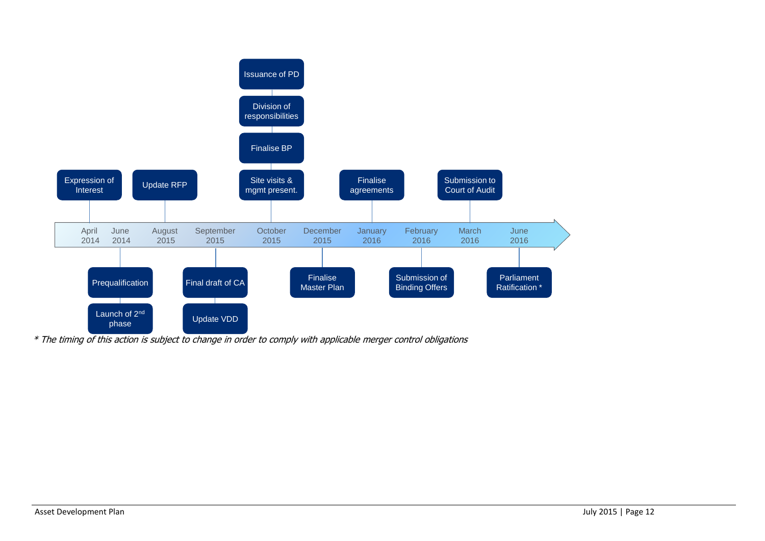

\* The timing of this action is subject to change in order to comply with applicable merger control obligations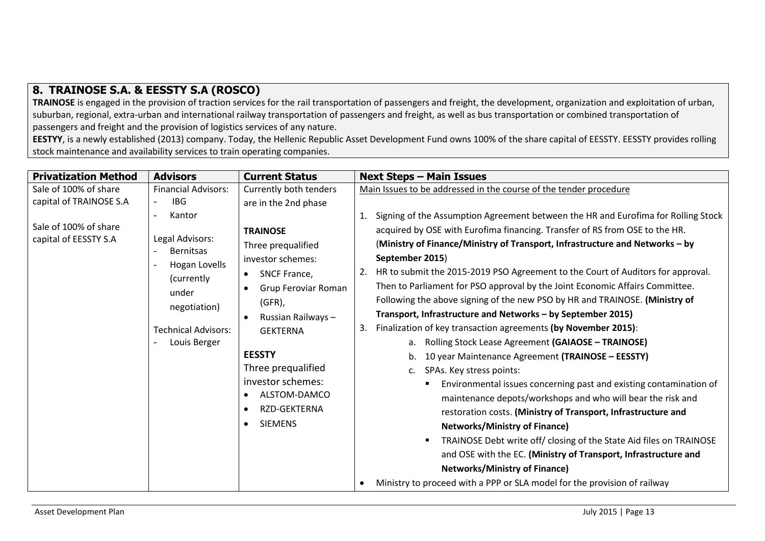#### <span id="page-12-0"></span>**8. TRAINOSE S.A. & EESSTY S.A (ROSCO)**

**TRAINOSE** is engaged in the provision of traction services for the rail transportation of passengers and freight, the development, organization and exploitation of urban, suburban, regional, extra-urban and international railway transportation of passengers and freight, as well as bus transportation or combined transportation of passengers and freight and the provision of logistics services of any nature.

**EESTYY**, is a newly established (2013) company. Today, the Hellenic Republic Asset Development Fund owns 100% of the share capital of EESSTY. EESSTY provides rolling stock maintenance and availability services to train operating companies.

| <b>Privatization Method</b> | <b>Advisors</b>             | <b>Current Status</b>     | <b>Next Steps - Main Issues</b>                                                       |
|-----------------------------|-----------------------------|---------------------------|---------------------------------------------------------------------------------------|
| Sale of 100% of share       | <b>Financial Advisors:</b>  | Currently both tenders    | Main Issues to be addressed in the course of the tender procedure                     |
| capital of TRAINOSE S.A     | <b>IBG</b>                  | are in the 2nd phase      |                                                                                       |
|                             | Kantor<br>$\overline{a}$    |                           | Signing of the Assumption Agreement between the HR and Eurofima for Rolling Stock     |
| Sale of 100% of share       |                             | <b>TRAINOSE</b>           | acquired by OSE with Eurofima financing. Transfer of RS from OSE to the HR.           |
| capital of EESSTY S.A       | Legal Advisors:             | Three prequalified        | (Ministry of Finance/Ministry of Transport, Infrastructure and Networks – by          |
|                             | <b>Bernitsas</b>            | investor schemes:         | September 2015)                                                                       |
|                             | Hogan Lovells               | SNCF France,<br>$\bullet$ | HR to submit the 2015-2019 PSO Agreement to the Court of Auditors for approval.       |
|                             | (currently                  | Grup Feroviar Roman       | Then to Parliament for PSO approval by the Joint Economic Affairs Committee.          |
|                             | under                       | $(GFR)$ ,                 | Following the above signing of the new PSO by HR and TRAINOSE. (Ministry of           |
|                             | negotiation)                | Russian Railways-         | Transport, Infrastructure and Networks - by September 2015)                           |
|                             | <b>Technical Advisors:</b>  | <b>GEKTERNA</b>           | Finalization of key transaction agreements (by November 2015):<br>3.                  |
|                             | Louis Berger                |                           | Rolling Stock Lease Agreement (GAIAOSE - TRAINOSE)<br>а.                              |
|                             |                             | <b>EESSTY</b>             | 10 year Maintenance Agreement (TRAINOSE - EESSTY)                                     |
|                             |                             | Three prequalified        | SPAs. Key stress points:<br>c.                                                        |
|                             |                             | investor schemes:         | Environmental issues concerning past and existing contamination of<br>п               |
|                             |                             | ALSTOM-DAMCO<br>$\bullet$ | maintenance depots/workshops and who will bear the risk and                           |
|                             |                             | RZD-GEKTERNA<br>$\bullet$ | restoration costs. (Ministry of Transport, Infrastructure and                         |
|                             | <b>SIEMENS</b><br>$\bullet$ |                           | <b>Networks/Ministry of Finance)</b>                                                  |
|                             |                             |                           | TRAINOSE Debt write off/ closing of the State Aid files on TRAINOSE<br>$\blacksquare$ |
|                             |                             |                           | and OSE with the EC. (Ministry of Transport, Infrastructure and                       |
|                             |                             |                           | <b>Networks/Ministry of Finance)</b>                                                  |
|                             |                             |                           | Ministry to proceed with a PPP or SLA model for the provision of railway              |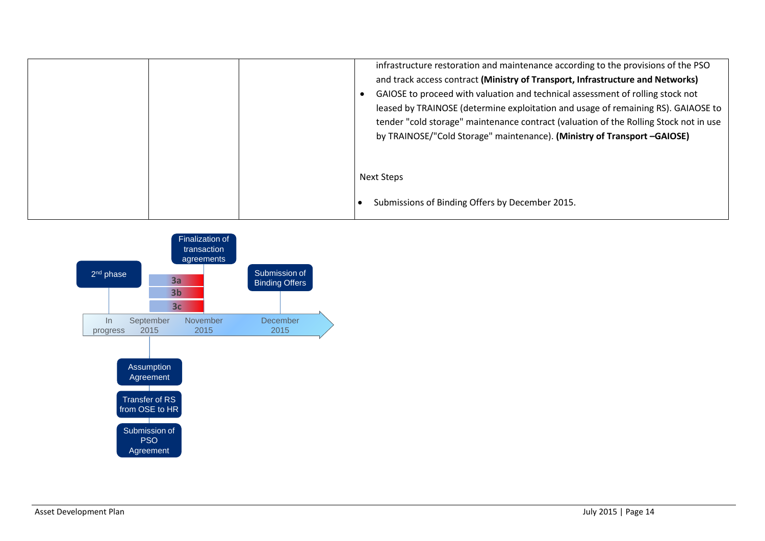| infrastructure restoration and maintenance according to the provisions of the PSO<br>and track access contract (Ministry of Transport, Infrastructure and Networks)<br>GAIOSE to proceed with valuation and technical assessment of rolling stock not<br>leased by TRAINOSE (determine exploitation and usage of remaining RS). GAIAOSE to<br>tender "cold storage" maintenance contract (valuation of the Rolling Stock not in use<br>by TRAINOSE/"Cold Storage" maintenance). (Ministry of Transport -GAIOSE) |
|-----------------------------------------------------------------------------------------------------------------------------------------------------------------------------------------------------------------------------------------------------------------------------------------------------------------------------------------------------------------------------------------------------------------------------------------------------------------------------------------------------------------|
| Next Steps                                                                                                                                                                                                                                                                                                                                                                                                                                                                                                      |
| Submissions of Binding Offers by December 2015.                                                                                                                                                                                                                                                                                                                                                                                                                                                                 |

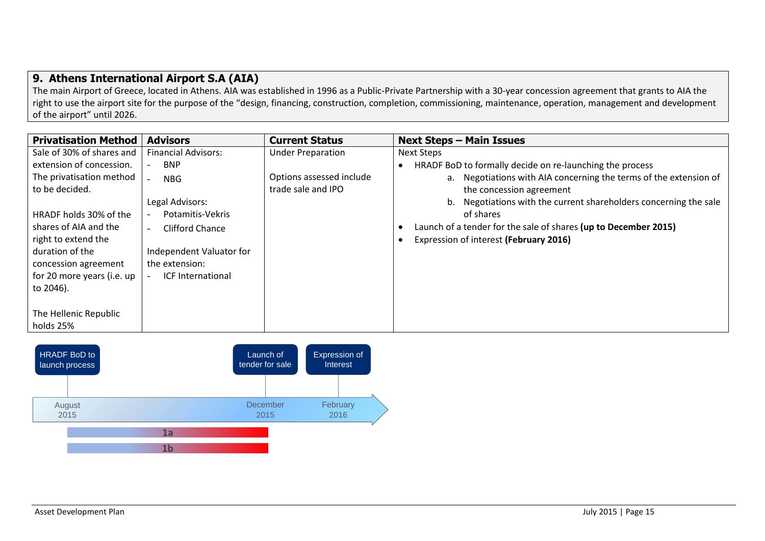#### <span id="page-14-0"></span>**9. Athens International Airport S.A (AIA)**

The main Airport of Greece, located in Athens. AIA was established in 1996 as a Public-Private Partnership with a 30-year concession agreement that grants to AIA the right to use the airport site for the purpose of the "design, financing, construction, completion, commissioning, maintenance, operation, management and development of the airport" until 2026.

| <b>Privatisation Method</b> | <b>Advisors</b>            | <b>Current Status</b>    | <b>Next Steps - Main Issues</b>                                      |
|-----------------------------|----------------------------|--------------------------|----------------------------------------------------------------------|
| Sale of 30% of shares and   | <b>Financial Advisors:</b> | <b>Under Preparation</b> | Next Steps                                                           |
| extension of concession.    | <b>BNP</b>                 |                          | HRADF BoD to formally decide on re-launching the process             |
| The privatisation method    | <b>NBG</b>                 | Options assessed include | a. Negotiations with AIA concerning the terms of the extension of    |
| to be decided.              |                            | trade sale and IPO       | the concession agreement                                             |
|                             | Legal Advisors:            |                          | Negotiations with the current shareholders concerning the sale<br>b. |
| HRADF holds 30% of the      | Potamitis-Vekris           |                          | of shares                                                            |
| shares of AIA and the       | Clifford Chance            |                          | Launch of a tender for the sale of shares (up to December 2015)      |
| right to extend the         |                            |                          | Expression of interest (February 2016)                               |
| duration of the             | Independent Valuator for   |                          |                                                                      |
| concession agreement        | the extension:             |                          |                                                                      |
| for 20 more years (i.e. up  | <b>ICF International</b>   |                          |                                                                      |
| to 2046).                   |                            |                          |                                                                      |
|                             |                            |                          |                                                                      |
| The Hellenic Republic       |                            |                          |                                                                      |
| holds 25%                   |                            |                          |                                                                      |

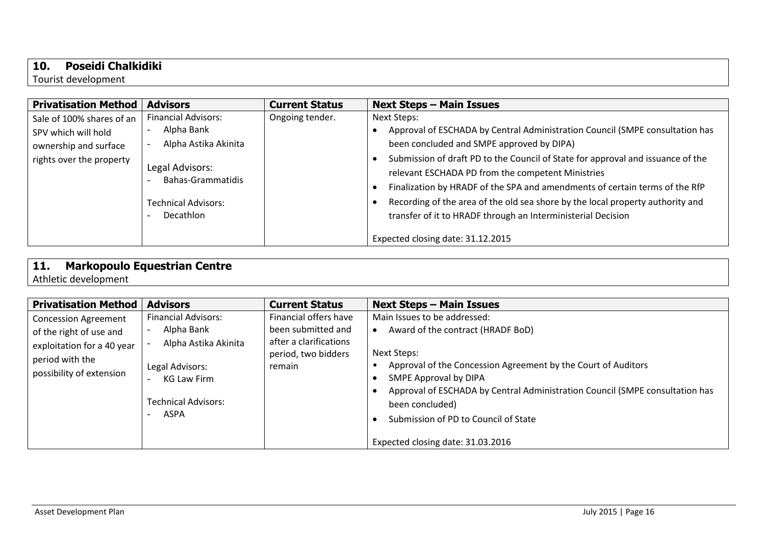### <span id="page-15-0"></span>**10. Poseidi Chalkidiki**

Tourist development

| <b>Privatisation Method</b>                                                                           | <b>Advisors</b>                                                                                                                                     | <b>Current Status</b> | <b>Next Steps - Main Issues</b>                                                                                                                                                                                                                                                                                                                                                                                                                                                                                                                        |
|-------------------------------------------------------------------------------------------------------|-----------------------------------------------------------------------------------------------------------------------------------------------------|-----------------------|--------------------------------------------------------------------------------------------------------------------------------------------------------------------------------------------------------------------------------------------------------------------------------------------------------------------------------------------------------------------------------------------------------------------------------------------------------------------------------------------------------------------------------------------------------|
| Sale of 100% shares of an<br>SPV which will hold<br>ownership and surface<br>rights over the property | <b>Financial Advisors:</b><br>Alpha Bank<br>Alpha Astika Akinita<br>Legal Advisors:<br>Bahas-Grammatidis<br><b>Technical Advisors:</b><br>Decathlon | Ongoing tender.       | Next Steps:<br>Approval of ESCHADA by Central Administration Council (SMPE consultation has<br>been concluded and SMPE approved by DIPA)<br>Submission of draft PD to the Council of State for approval and issuance of the<br>relevant ESCHADA PD from the competent Ministries<br>Finalization by HRADF of the SPA and amendments of certain terms of the RfP<br>Recording of the area of the old sea shore by the local property authority and<br>transfer of it to HRADF through an Interministerial Decision<br>Expected closing date: 31.12.2015 |

# <span id="page-15-1"></span>**11. Markopoulo Equestrian Centre**

Athletic development

| <b>Privatisation Method</b>                                                                                                         | <b>Advisors</b>                                                                                                                                 | <b>Current Status</b>                                                                                  | <b>Next Steps - Main Issues</b>                                                                                                                                                                                                                                                                                                                            |
|-------------------------------------------------------------------------------------------------------------------------------------|-------------------------------------------------------------------------------------------------------------------------------------------------|--------------------------------------------------------------------------------------------------------|------------------------------------------------------------------------------------------------------------------------------------------------------------------------------------------------------------------------------------------------------------------------------------------------------------------------------------------------------------|
| <b>Concession Agreement</b><br>of the right of use and<br>exploitation for a 40 year<br>period with the<br>possibility of extension | <b>Financial Advisors:</b><br>Alpha Bank<br>Alpha Astika Akinita<br>Legal Advisors:<br><b>KG Law Firm</b><br><b>Technical Advisors:</b><br>ASPA | Financial offers have<br>been submitted and<br>after a clarifications<br>period, two bidders<br>remain | Main Issues to be addressed:<br>Award of the contract (HRADF BoD)<br>Next Steps:<br>Approval of the Concession Agreement by the Court of Auditors<br>SMPE Approval by DIPA<br>Approval of ESCHADA by Central Administration Council (SMPE consultation has<br>been concluded)<br>Submission of PD to Council of State<br>Expected closing date: 31.03.2016 |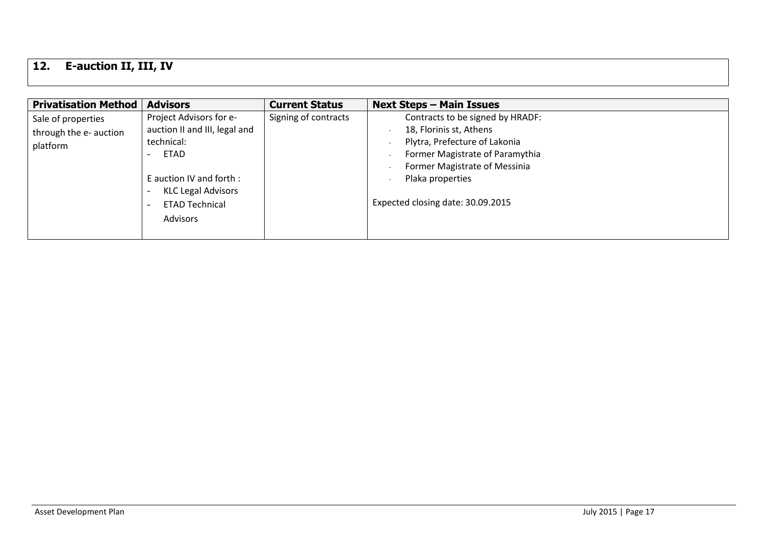# <span id="page-16-0"></span>**12. E-auction II, III, IV**

| <b>Privatisation Method</b>                              | <b>Advisors</b>                                                                                                                                                                     | <b>Current Status</b> | <b>Next Steps - Main Issues</b>                                                                                                                                                                                           |
|----------------------------------------------------------|-------------------------------------------------------------------------------------------------------------------------------------------------------------------------------------|-----------------------|---------------------------------------------------------------------------------------------------------------------------------------------------------------------------------------------------------------------------|
| Sale of properties<br>through the e- auction<br>platform | Project Advisors for e-<br>auction II and III, legal and<br>technical:<br><b>ETAD</b><br>E auction IV and forth :<br><b>KLC Legal Advisors</b><br><b>ETAD Technical</b><br>Advisors | Signing of contracts  | Contracts to be signed by HRADF:<br>18, Florinis st, Athens<br>Plytra, Prefecture of Lakonia<br>Former Magistrate of Paramythia<br>Former Magistrate of Messinia<br>Plaka properties<br>Expected closing date: 30.09.2015 |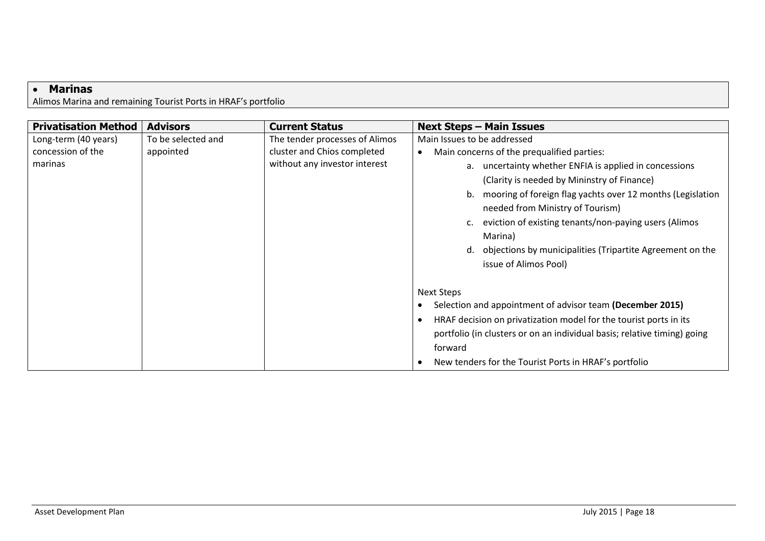#### <span id="page-17-0"></span>**Marinas**

Alimos Marina and remaining Tourist Ports in HRAF's portfolio

| <b>Privatisation Method</b> | <b>Advisors</b>    | <b>Current Status</b>          | <b>Next Steps - Main Issues</b>                                                                                                                                                                                                                                                                                                                                      |
|-----------------------------|--------------------|--------------------------------|----------------------------------------------------------------------------------------------------------------------------------------------------------------------------------------------------------------------------------------------------------------------------------------------------------------------------------------------------------------------|
| Long-term (40 years)        | To be selected and | The tender processes of Alimos | Main Issues to be addressed                                                                                                                                                                                                                                                                                                                                          |
| concession of the           | appointed          | cluster and Chios completed    | Main concerns of the prequalified parties:                                                                                                                                                                                                                                                                                                                           |
| marinas                     |                    | without any investor interest  | uncertainty whether ENFIA is applied in concessions<br>a.<br>(Clarity is needed by Mininstry of Finance)<br>mooring of foreign flag yachts over 12 months (Legislation<br>needed from Ministry of Tourism)<br>eviction of existing tenants/non-paying users (Alimos<br>Marina)<br>objections by municipalities (Tripartite Agreement on the<br>issue of Alimos Pool) |
|                             |                    |                                | <b>Next Steps</b><br>Selection and appointment of advisor team (December 2015)<br>HRAF decision on privatization model for the tourist ports in its<br>portfolio (in clusters or on an individual basis; relative timing) going<br>forward<br>New tenders for the Tourist Ports in HRAF's portfolio                                                                  |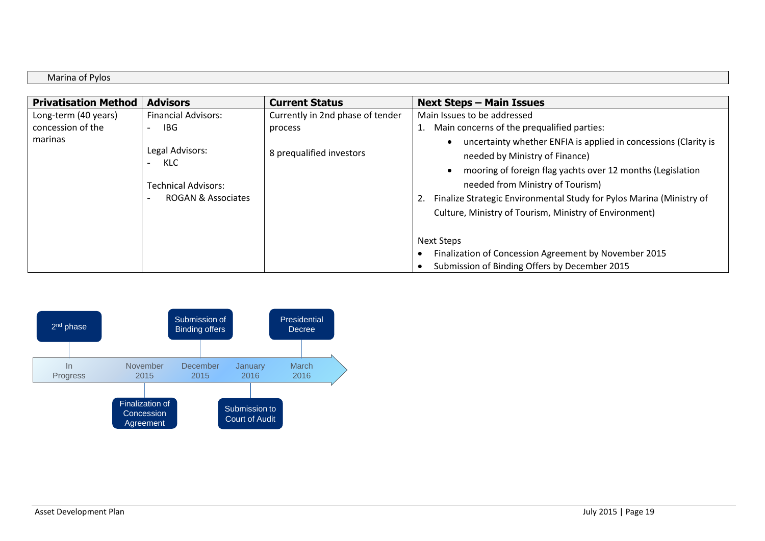Marina of Pylos

| <b>Privatisation Method</b> | <b>Advisors</b>                                                                       | <b>Current Status</b>            | <b>Next Steps - Main Issues</b>                                                                                                                                                                                                                                                                                                             |
|-----------------------------|---------------------------------------------------------------------------------------|----------------------------------|---------------------------------------------------------------------------------------------------------------------------------------------------------------------------------------------------------------------------------------------------------------------------------------------------------------------------------------------|
| Long-term (40 years)        | <b>Financial Advisors:</b>                                                            | Currently in 2nd phase of tender | Main Issues to be addressed                                                                                                                                                                                                                                                                                                                 |
| concession of the           | IBG                                                                                   | process                          | 1. Main concerns of the prequalified parties:                                                                                                                                                                                                                                                                                               |
| marinas                     | Legal Advisors:<br>KLC<br><b>Technical Advisors:</b><br><b>ROGAN &amp; Associates</b> | 8 prequalified investors         | uncertainty whether ENFIA is applied in concessions (Clarity is<br>needed by Ministry of Finance)<br>mooring of foreign flag yachts over 12 months (Legislation<br>needed from Ministry of Tourism)<br>Finalize Strategic Environmental Study for Pylos Marina (Ministry of<br>2.<br>Culture, Ministry of Tourism, Ministry of Environment) |
|                             |                                                                                       |                                  | <b>Next Steps</b>                                                                                                                                                                                                                                                                                                                           |
|                             |                                                                                       |                                  | Finalization of Concession Agreement by November 2015                                                                                                                                                                                                                                                                                       |
|                             |                                                                                       |                                  | Submission of Binding Offers by December 2015                                                                                                                                                                                                                                                                                               |

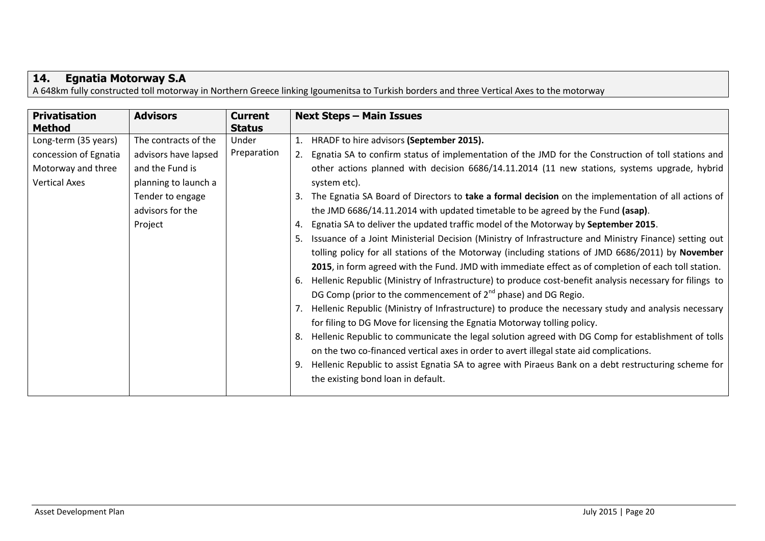## <span id="page-19-0"></span>**14. Egnatia Motorway S.A**

A 648km fully constructed toll motorway in Northern Greece linking Igoumenitsa to Turkish borders and three Vertical Axes to the motorway

| <b>Privatisation</b><br><b>Method</b>                                                       | <b>Advisors</b>                                                                                                                            | <b>Current</b><br><b>Status</b> | <b>Next Steps - Main Issues</b>                                                                                                                                                                                                                                                                                                                                                                                                                                                                                                                                                                                                                                                                                                                                                                                                                                                                                                                                                                                                                                                                                                                                                                                                                                                                                                                                                                                                                                                                                                                                                       |
|---------------------------------------------------------------------------------------------|--------------------------------------------------------------------------------------------------------------------------------------------|---------------------------------|---------------------------------------------------------------------------------------------------------------------------------------------------------------------------------------------------------------------------------------------------------------------------------------------------------------------------------------------------------------------------------------------------------------------------------------------------------------------------------------------------------------------------------------------------------------------------------------------------------------------------------------------------------------------------------------------------------------------------------------------------------------------------------------------------------------------------------------------------------------------------------------------------------------------------------------------------------------------------------------------------------------------------------------------------------------------------------------------------------------------------------------------------------------------------------------------------------------------------------------------------------------------------------------------------------------------------------------------------------------------------------------------------------------------------------------------------------------------------------------------------------------------------------------------------------------------------------------|
| Long-term (35 years)<br>concession of Egnatia<br>Motorway and three<br><b>Vertical Axes</b> | The contracts of the<br>advisors have lapsed<br>and the Fund is<br>planning to launch a<br>Tender to engage<br>advisors for the<br>Project | Under<br>Preparation            | HRADF to hire advisors (September 2015).<br>1.<br>Egnatia SA to confirm status of implementation of the JMD for the Construction of toll stations and<br>other actions planned with decision 6686/14.11.2014 (11 new stations, systems upgrade, hybrid<br>system etc).<br>The Egnatia SA Board of Directors to take a formal decision on the implementation of all actions of<br>3.<br>the JMD 6686/14.11.2014 with updated timetable to be agreed by the Fund (asap).<br>Egnatia SA to deliver the updated traffic model of the Motorway by September 2015.<br>4.<br>Issuance of a Joint Ministerial Decision (Ministry of Infrastructure and Ministry Finance) setting out<br>tolling policy for all stations of the Motorway (including stations of JMD 6686/2011) by November<br>2015, in form agreed with the Fund. JMD with immediate effect as of completion of each toll station.<br>Hellenic Republic (Ministry of Infrastructure) to produce cost-benefit analysis necessary for filings to<br>6.<br>DG Comp (prior to the commencement of $2^{nd}$ phase) and DG Regio.<br>Hellenic Republic (Ministry of Infrastructure) to produce the necessary study and analysis necessary<br>for filing to DG Move for licensing the Egnatia Motorway tolling policy.<br>Hellenic Republic to communicate the legal solution agreed with DG Comp for establishment of tolls<br>8.<br>on the two co-financed vertical axes in order to avert illegal state aid complications.<br>Hellenic Republic to assist Egnatia SA to agree with Piraeus Bank on a debt restructuring scheme for |
|                                                                                             |                                                                                                                                            |                                 | the existing bond loan in default.                                                                                                                                                                                                                                                                                                                                                                                                                                                                                                                                                                                                                                                                                                                                                                                                                                                                                                                                                                                                                                                                                                                                                                                                                                                                                                                                                                                                                                                                                                                                                    |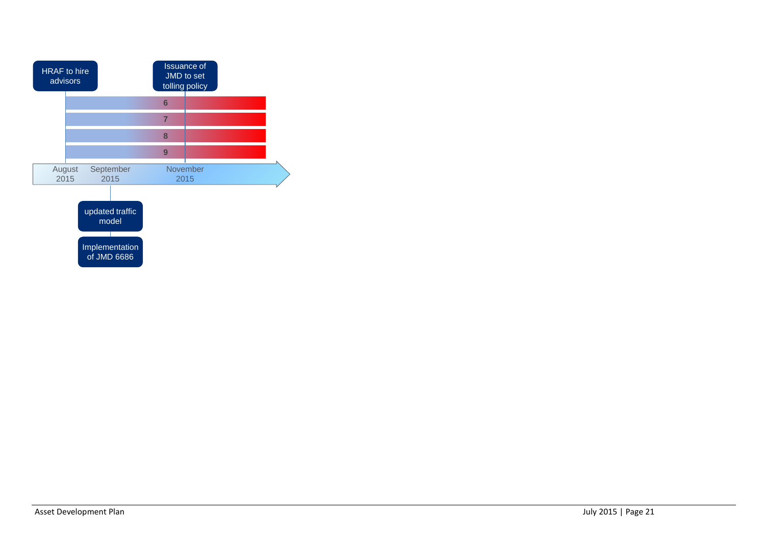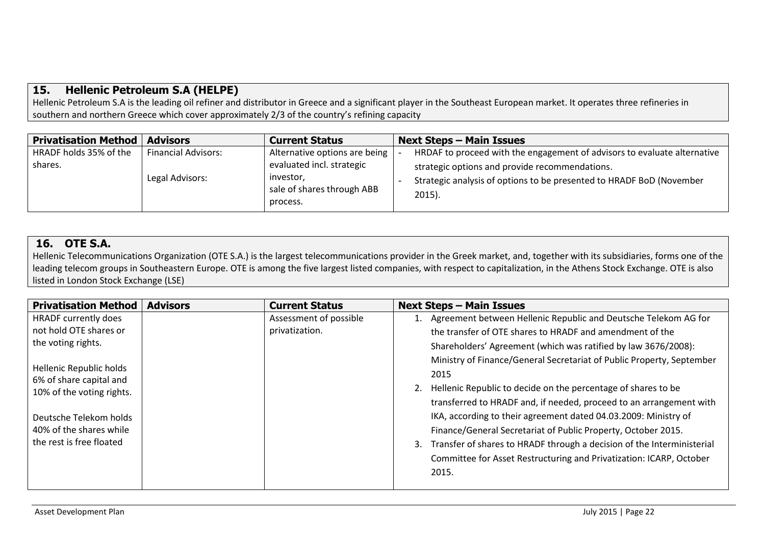#### <span id="page-21-0"></span>**15. Hellenic Petroleum S.A (HELPE)**

Hellenic Petroleum S.A is the leading oil refiner and distributor in Greece and a significant player in the Southeast European market. It operates three refineries in southern and northern Greece which cover approximately 2/3 of the country's refining capacity

| <b>Privatisation Method</b>       | <b>Advisors</b>            | <b>Current Status</b>                                      | <b>Next Steps - Main Issues</b>                                                                                            |
|-----------------------------------|----------------------------|------------------------------------------------------------|----------------------------------------------------------------------------------------------------------------------------|
| HRADF holds 35% of the<br>shares. | <b>Financial Advisors:</b> | Alternative options are being<br>evaluated incl. strategic | HRDAF to proceed with the engagement of advisors to evaluate alternative<br>strategic options and provide recommendations. |
|                                   | Legal Advisors:            | investor,<br>sale of shares through ABB<br>process.        | Strategic analysis of options to be presented to HRADF BoD (November<br>$2015$ ).                                          |

#### <span id="page-21-1"></span>**16. OTE S.A.**

Hellenic Telecommunications Organization (OTE S.A.) is the largest telecommunications provider in the Greek market, and, together with its subsidiaries, forms one of the leading telecom groups in Southeastern Europe. OTE is among the five largest listed companies, with respect to capitalization, in the Athens Stock Exchange. OTE is also listed in London Stock Exchange (LSE)

| <b>Privatisation Method</b>                        | <b>Advisors</b> | <b>Current Status</b>  | <b>Next Steps - Main Issues</b>                                           |
|----------------------------------------------------|-----------------|------------------------|---------------------------------------------------------------------------|
| HRADF currently does                               |                 | Assessment of possible | 1. Agreement between Hellenic Republic and Deutsche Telekom AG for        |
| not hold OTE shares or                             |                 | privatization.         | the transfer of OTE shares to HRADF and amendment of the                  |
| the voting rights.                                 |                 |                        | Shareholders' Agreement (which was ratified by law 3676/2008):            |
|                                                    |                 |                        | Ministry of Finance/General Secretariat of Public Property, September     |
| Hellenic Republic holds<br>6% of share capital and |                 |                        | 2015                                                                      |
| 10% of the voting rights.                          |                 |                        | Hellenic Republic to decide on the percentage of shares to be             |
|                                                    |                 |                        | transferred to HRADF and, if needed, proceed to an arrangement with       |
| Deutsche Telekom holds                             |                 |                        | IKA, according to their agreement dated 04.03.2009: Ministry of           |
| 40% of the shares while                            |                 |                        | Finance/General Secretariat of Public Property, October 2015.             |
| the rest is free floated                           |                 |                        | 3. Transfer of shares to HRADF through a decision of the Interministerial |
|                                                    |                 |                        | Committee for Asset Restructuring and Privatization: ICARP, October       |
|                                                    |                 |                        | 2015.                                                                     |
|                                                    |                 |                        |                                                                           |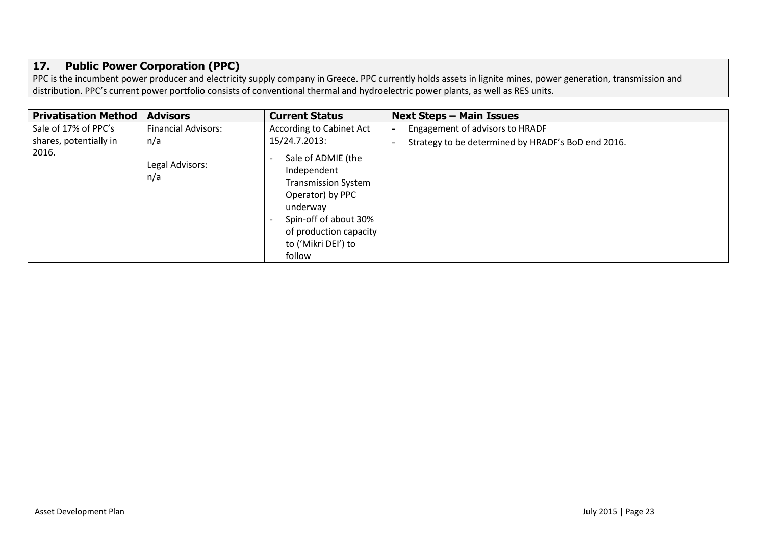### <span id="page-22-0"></span>**17. Public Power Corporation (PPC)**

PPC is the incumbent power producer and electricity supply company in Greece. PPC currently holds assets in lignite mines, power generation, transmission and distribution. PPC's current power portfolio consists of conventional thermal and hydroelectric power plants, as well as RES units.

| <b>Privatisation Method</b> | <b>Advisors</b>            | <b>Current Status</b>                                                                                                                                                               | <b>Next Steps - Main Issues</b>                    |
|-----------------------------|----------------------------|-------------------------------------------------------------------------------------------------------------------------------------------------------------------------------------|----------------------------------------------------|
| Sale of 17% of PPC's        | <b>Financial Advisors:</b> | According to Cabinet Act                                                                                                                                                            | Engagement of advisors to HRADF                    |
| shares, potentially in      | n/a                        | 15/24.7.2013:                                                                                                                                                                       | Strategy to be determined by HRADF's BoD end 2016. |
| 2016.                       | Legal Advisors:<br>n/a     | Sale of ADMIE (the<br>Independent<br><b>Transmission System</b><br>Operator) by PPC<br>underway<br>Spin-off of about 30%<br>of production capacity<br>to ('Mikri DEI') to<br>follow |                                                    |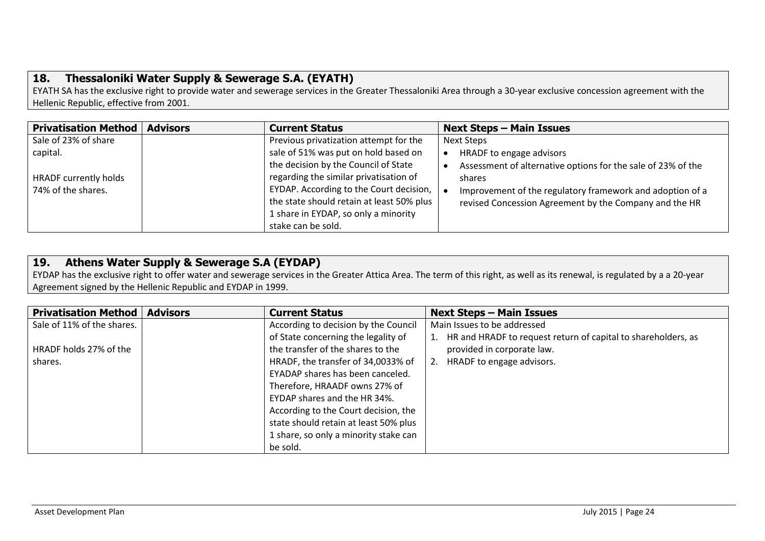### <span id="page-23-0"></span>**18. Thessaloniki Water Supply & Sewerage S.A. (EYATH)**

EYATH SA has the exclusive right to provide water and sewerage services in the Greater Thessaloniki Area through a 30-year exclusive concession agreement with the Hellenic Republic, effective from 2001.

| <b>Privatisation Method</b>  | <b>Advisors</b> | <b>Current Status</b>                                         | <b>Next Steps - Main Issues</b>                              |
|------------------------------|-----------------|---------------------------------------------------------------|--------------------------------------------------------------|
| Sale of 23% of share         |                 | Previous privatization attempt for the                        | Next Steps                                                   |
| capital.                     |                 | sale of 51% was put on hold based on                          | HRADF to engage advisors                                     |
|                              |                 | the decision by the Council of State                          | Assessment of alternative options for the sale of 23% of the |
| <b>HRADF</b> currently holds |                 | regarding the similar privatisation of                        | shares                                                       |
| 74% of the shares.           |                 | EYDAP. According to the Court decision, $\vert \bullet \vert$ | Improvement of the regulatory framework and adoption of a    |
|                              |                 | the state should retain at least 50% plus                     | revised Concession Agreement by the Company and the HR       |
|                              |                 | 1 share in EYDAP, so only a minority                          |                                                              |
|                              |                 | stake can be sold.                                            |                                                              |

#### <span id="page-23-1"></span>**19. Athens Water Supply & Sewerage S.A (EYDAP)**

EYDAP has the exclusive right to offer water and sewerage services in the Greater Attica Area. The term of this right, as well as its renewal, is regulated by a a 20-year Agreement signed by the Hellenic Republic and EYDAP in 1999.

| <b>Privatisation Method</b> | <b>Advisors</b> | <b>Current Status</b>                 | <b>Next Steps - Main Issues</b>                               |
|-----------------------------|-----------------|---------------------------------------|---------------------------------------------------------------|
| Sale of 11% of the shares.  |                 | According to decision by the Council  | Main Issues to be addressed                                   |
|                             |                 | of State concerning the legality of   | HR and HRADF to request return of capital to shareholders, as |
| HRADF holds 27% of the      |                 | the transfer of the shares to the     | provided in corporate law.                                    |
| shares.                     |                 | HRADF, the transfer of 34,0033% of    | HRADF to engage advisors.<br>2.                               |
|                             |                 | EYADAP shares has been canceled.      |                                                               |
|                             |                 | Therefore, HRAADF owns 27% of         |                                                               |
|                             |                 | EYDAP shares and the HR 34%.          |                                                               |
|                             |                 | According to the Court decision, the  |                                                               |
|                             |                 | state should retain at least 50% plus |                                                               |
|                             |                 | 1 share, so only a minority stake can |                                                               |
|                             |                 | be sold.                              |                                                               |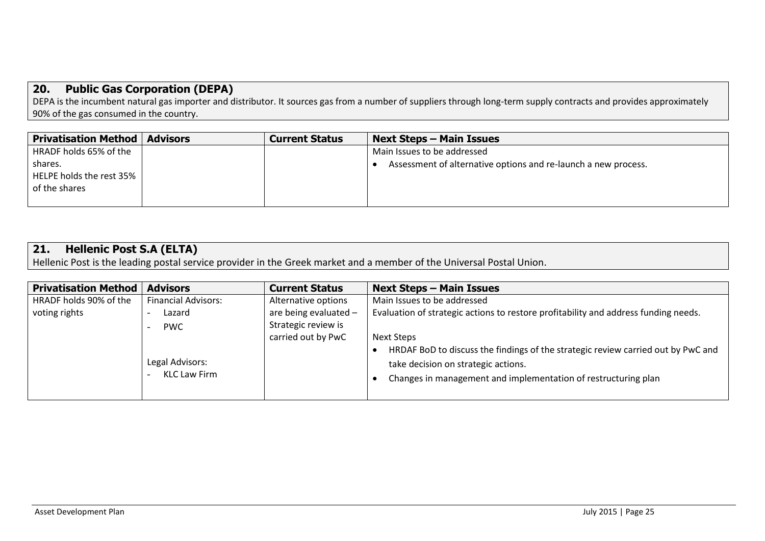#### <span id="page-24-0"></span>**20. Public Gas Corporation (DEPA)**

DEPA is the incumbent natural gas importer and distributor. It sources gas from a number of suppliers through long-term supply contracts and provides approximately 90% of the gas consumed in the country.

| <b>Privatisation Method   Advisors</b> | <b>Current Status</b> | <b>Next Steps – Main Issues</b>                                |
|----------------------------------------|-----------------------|----------------------------------------------------------------|
| HRADF holds 65% of the                 |                       | Main Issues to be addressed                                    |
| shares.                                |                       | Assessment of alternative options and re-launch a new process. |
| HELPE holds the rest 35%               |                       |                                                                |
| of the shares                          |                       |                                                                |
|                                        |                       |                                                                |

### <span id="page-24-1"></span>**21. Hellenic Post S.A (ELTA)**

Hellenic Post is the leading postal service provider in the Greek market and a member of the Universal Postal Union.

| <b>Privatisation Method</b> | <b>Advisors</b>            | <b>Current Status</b>   | <b>Next Steps - Main Issues</b>                                                     |
|-----------------------------|----------------------------|-------------------------|-------------------------------------------------------------------------------------|
| HRADF holds 90% of the      | <b>Financial Advisors:</b> | Alternative options     | Main Issues to be addressed                                                         |
| voting rights               | Lazard                     | are being evaluated $-$ | Evaluation of strategic actions to restore profitability and address funding needs. |
|                             | <b>PWC</b>                 | Strategic review is     |                                                                                     |
|                             |                            | carried out by PwC      | Next Steps                                                                          |
|                             |                            |                         | HRDAF BoD to discuss the findings of the strategic review carried out by PwC and    |
|                             | Legal Advisors:            |                         | take decision on strategic actions.                                                 |
|                             | KLC Law Firm               |                         | Changes in management and implementation of restructuring plan                      |
|                             |                            |                         |                                                                                     |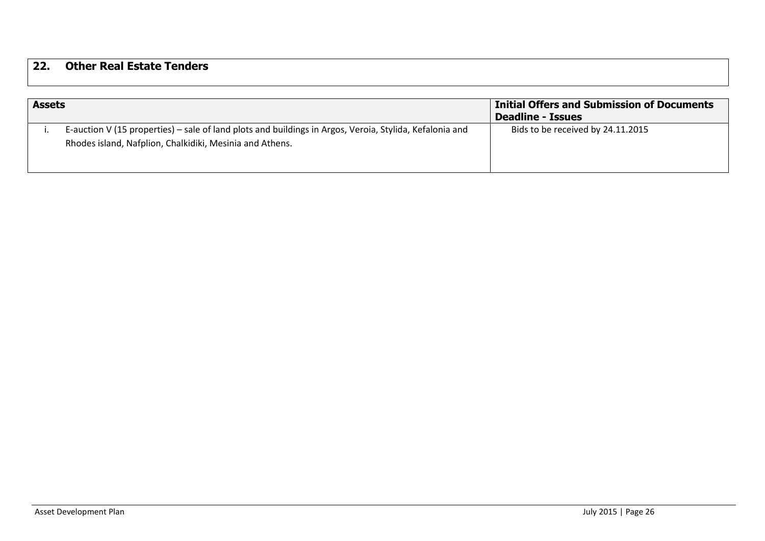### <span id="page-25-0"></span>**22. Other Real Estate Tenders**

| <b>Assets</b> |                                                                                                                                                                     | <b>Initial Offers and Submission of Documents</b><br><b>Deadline - Issues</b> |
|---------------|---------------------------------------------------------------------------------------------------------------------------------------------------------------------|-------------------------------------------------------------------------------|
|               | E-auction V (15 properties) – sale of land plots and buildings in Argos, Veroia, Stylida, Kefalonia and<br>Rhodes island, Nafplion, Chalkidiki, Mesinia and Athens. | Bids to be received by 24.11.2015                                             |